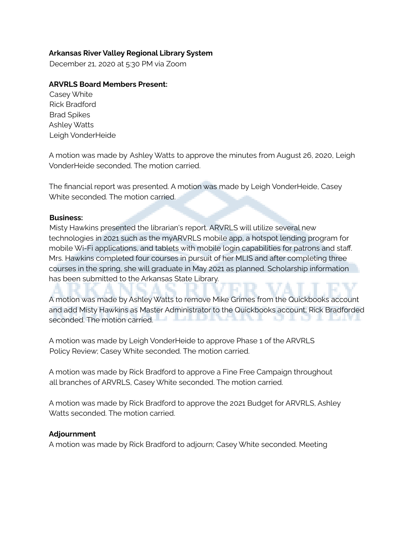# **Arkansas River Valley Regional Library System**

December 21, 2020 at 5:30 PM via Zoom

## **ARVRLS Board Members Present:**

Casey White Rick Bradford Brad Spikes Ashley Watts Leigh VonderHeide

A motion was made by Ashley Watts to approve the minutes from August 26, 2020, Leigh VonderHeide seconded. The motion carried.

The financial report was presented. A motion was made by Leigh VonderHeide, Casey White seconded. The motion carried.

#### **Business:**

Misty Hawkins presented the librarian's report. ARVRLS will utilize several new technologies in 2021 such as the myARVRLS mobile app, a hotspot lending program for mobile Wi-Fi applications, and tablets with mobile login capabilities for patrons and staff. Mrs. Hawkins completed four courses in pursuit of her MLIS and after completing three courses in the spring, she will graduate in May 2021 as planned. Scholarship information has been submitted to the Arkansas State Library.

A motion was made by Ashley Watts to remove Mike Grimes from the Quickbooks account and add Misty Hawkins as Master Administrator to the Quickbooks account; Rick Bradforded DIVANI GIOIDINI seconded. The motion carried.

A motion was made by Leigh VonderHeide to approve Phase 1 of the ARVRLS Policy Review; Casey White seconded. The motion carried.

A motion was made by Rick Bradford to approve a Fine Free Campaign throughout all branches of ARVRLS, Casey White seconded. The motion carried.

A motion was made by Rick Bradford to approve the 2021 Budget for ARVRLS, Ashley Watts seconded. The motion carried.

## **Adjournment**

A motion was made by Rick Bradford to adjourn; Casey White seconded. Meeting